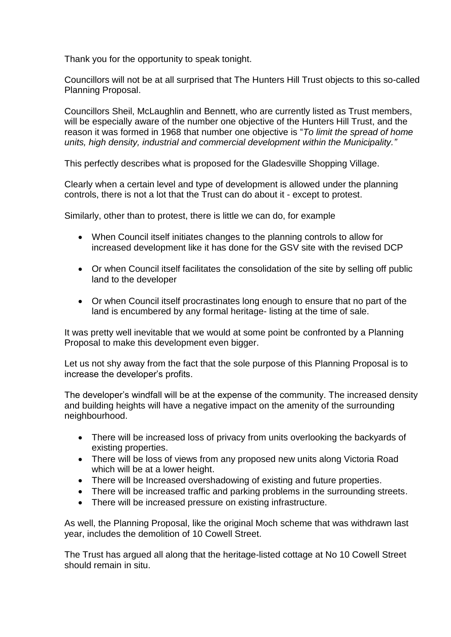Thank you for the opportunity to speak tonight.

Councillors will not be at all surprised that The Hunters Hill Trust objects to this so-called Planning Proposal.

Councillors Sheil, McLaughlin and Bennett, who are currently listed as Trust members, will be especially aware of the number one objective of the Hunters Hill Trust, and the reason it was formed in 1968 that number one objective is "*To limit the spread of home units, high density, industrial and commercial development within the Municipality."*

This perfectly describes what is proposed for the Gladesville Shopping Village.

Clearly when a certain level and type of development is allowed under the planning controls, there is not a lot that the Trust can do about it - except to protest.

Similarly, other than to protest, there is little we can do, for example

- When Council itself initiates changes to the planning controls to allow for increased development like it has done for the GSV site with the revised DCP
- Or when Council itself facilitates the consolidation of the site by selling off public land to the developer
- Or when Council itself procrastinates long enough to ensure that no part of the land is encumbered by any formal heritage- listing at the time of sale.

It was pretty well inevitable that we would at some point be confronted by a Planning Proposal to make this development even bigger.

Let us not shy away from the fact that the sole purpose of this Planning Proposal is to increase the developer's profits.

The developer's windfall will be at the expense of the community. The increased density and building heights will have a negative impact on the amenity of the surrounding neighbourhood.

- There will be increased loss of privacy from units overlooking the backyards of existing properties.
- There will be loss of views from any proposed new units along Victoria Road which will be at a lower height.
- There will be Increased overshadowing of existing and future properties.
- There will be increased traffic and parking problems in the surrounding streets.
- There will be increased pressure on existing infrastructure.

As well, the Planning Proposal, like the original Moch scheme that was withdrawn last year, includes the demolition of 10 Cowell Street.

The Trust has argued all along that the heritage-listed cottage at No 10 Cowell Street should remain in situ.